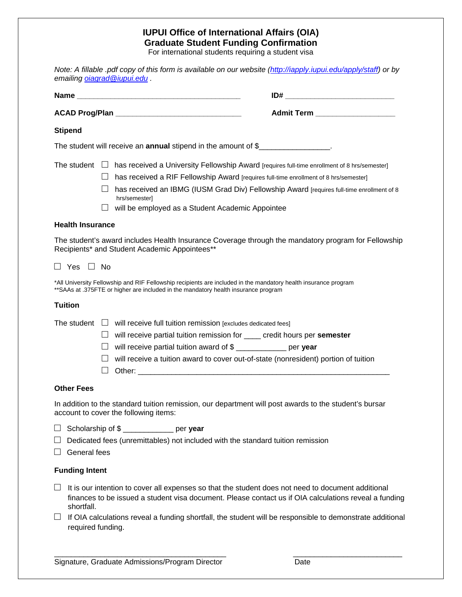# **IUPUI Office of International Affairs (OIA) Graduate Student Funding Confirmation**

For international students requiring a student visa

| Note: A fillable .pdf copy of this form is available on our website (http://iapply.iupui.edu/apply/staff) or by<br>emailing <i>oiagrad</i> @iupui.edu.                                                                                                                                                                                                                                      |
|---------------------------------------------------------------------------------------------------------------------------------------------------------------------------------------------------------------------------------------------------------------------------------------------------------------------------------------------------------------------------------------------|
|                                                                                                                                                                                                                                                                                                                                                                                             |
| Admit Term ___________________                                                                                                                                                                                                                                                                                                                                                              |
| <b>Stipend</b>                                                                                                                                                                                                                                                                                                                                                                              |
| The student will receive an annual stipend in the amount of \$                                                                                                                                                                                                                                                                                                                              |
| The student $\Box$ has received a University Fellowship Award [requires full-time enrollment of 8 hrs/semester]<br>$\Box$ has received a RIF Fellowship Award [requires full-time enrollment of 8 hrs/semester]<br>has received an IBMG (IUSM Grad Div) Fellowship Award [requires full-time enrollment of 8<br>$\Box$<br>hrs/semester]<br>will be employed as a Student Academic Appointee |
| <b>Health Insurance</b>                                                                                                                                                                                                                                                                                                                                                                     |
| The student's award includes Health Insurance Coverage through the mandatory program for Fellowship<br>Recipients* and Student Academic Appointees**                                                                                                                                                                                                                                        |
| $\Box$ Yes $\Box$ No                                                                                                                                                                                                                                                                                                                                                                        |
| *All University Fellowship and RIF Fellowship recipients are included in the mandatory health insurance program<br>** SAAs at .375FTE or higher are included in the mandatory health insurance program                                                                                                                                                                                      |
| <b>Tuition</b>                                                                                                                                                                                                                                                                                                                                                                              |
| The student $\Box$ will receive full tuition remission [excludes dedicated fees]                                                                                                                                                                                                                                                                                                            |
| will receive partial tuition remission for _____ credit hours per semester<br>ш                                                                                                                                                                                                                                                                                                             |
| will receive partial tuition award of \$ ____________ per year<br>$\Box$                                                                                                                                                                                                                                                                                                                    |
| will receive a tuition award to cover out-of-state (nonresident) portion of tuition                                                                                                                                                                                                                                                                                                         |
| <b>Other Fees</b>                                                                                                                                                                                                                                                                                                                                                                           |
| In addition to the standard tuition remission, our department will post awards to the student's bursar<br>account to cover the following items:                                                                                                                                                                                                                                             |
| Scholarship of \$ ___________ per year<br>ப<br>Dedicated fees (unremittables) not included with the standard tuition remission<br>General fees                                                                                                                                                                                                                                              |
| <b>Funding Intent</b>                                                                                                                                                                                                                                                                                                                                                                       |
| Ш<br>It is our intention to cover all expenses so that the student does not need to document additional<br>finances to be issued a student visa document. Please contact us if OIA calculations reveal a funding<br>shortfall.<br>If OIA calculations reveal a funding shortfall, the student will be responsible to demonstrate additional<br>ப                                            |
| required funding.                                                                                                                                                                                                                                                                                                                                                                           |